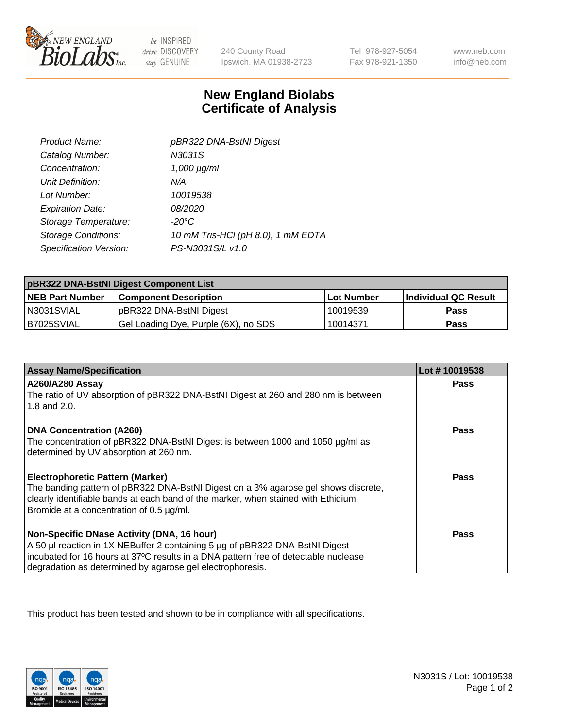

 $be$  INSPIRED drive DISCOVERY stay GENUINE

240 County Road Ipswich, MA 01938-2723

Tel 978-927-5054 Fax 978-921-1350

www.neb.com info@neb.com

## **New England Biolabs Certificate of Analysis**

| Product Name:              | pBR322 DNA-BstNI Digest            |
|----------------------------|------------------------------------|
| Catalog Number:            | N3031S                             |
| Concentration:             | $1,000 \mu g/ml$                   |
| Unit Definition:           | N/A                                |
| Lot Number:                | 10019538                           |
| <b>Expiration Date:</b>    | <i>08/2020</i>                     |
| Storage Temperature:       | $-20^{\circ}$ C                    |
| <b>Storage Conditions:</b> | 10 mM Tris-HCl (pH 8.0), 1 mM EDTA |
| Specification Version:     | PS-N3031S/L v1.0                   |

| pBR322 DNA-BstNI Digest Component List |                                      |                   |                      |  |
|----------------------------------------|--------------------------------------|-------------------|----------------------|--|
| <b>NEB Part Number</b>                 | <b>Component Description</b>         | <b>Lot Number</b> | Individual QC Result |  |
| IN3031SVIAL                            | pBR322 DNA-BstNI Digest              | 10019539          | <b>Pass</b>          |  |
| B7025SVIAL                             | Gel Loading Dye, Purple (6X), no SDS | 10014371          | <b>Pass</b>          |  |

| <b>Assay Name/Specification</b>                                                                              | Lot #10019538 |
|--------------------------------------------------------------------------------------------------------------|---------------|
| <b>A260/A280 Assay</b><br>The ratio of UV absorption of pBR322 DNA-BstNI Digest at 260 and 280 nm is between | <b>Pass</b>   |
| 1.8 and 2.0.                                                                                                 |               |
| <b>DNA Concentration (A260)</b>                                                                              | Pass          |
| The concentration of pBR322 DNA-BstNI Digest is between 1000 and 1050 µg/ml as                               |               |
| determined by UV absorption at 260 nm.                                                                       |               |
| <b>Electrophoretic Pattern (Marker)</b>                                                                      | Pass          |
| The banding pattern of pBR322 DNA-BstNI Digest on a 3% agarose gel shows discrete,                           |               |
| clearly identifiable bands at each band of the marker, when stained with Ethidium                            |               |
| Bromide at a concentration of 0.5 µg/ml.                                                                     |               |
| Non-Specific DNase Activity (DNA, 16 hour)                                                                   | Pass          |
| A 50 µl reaction in 1X NEBuffer 2 containing 5 µg of pBR322 DNA-BstNI Digest                                 |               |
| incubated for 16 hours at 37°C results in a DNA pattern free of detectable nuclease                          |               |
| degradation as determined by agarose gel electrophoresis.                                                    |               |

This product has been tested and shown to be in compliance with all specifications.